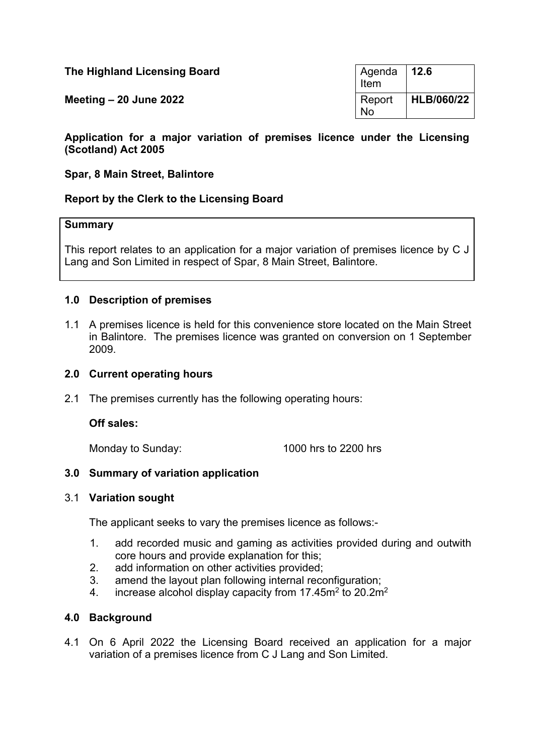| The Highland Licensing Board | Agenda   12.6<br>Item |            |
|------------------------------|-----------------------|------------|
| Meeting $-20$ June 2022      | Report<br><b>No</b>   | HLB/060/22 |

#### **Application for a major variation of premises licence under the Licensing (Scotland) Act 2005**

#### **Spar, 8 Main Street, Balintore**

### **Report by the Clerk to the Licensing Board**

#### **Summary**

This report relates to an application for a major variation of premises licence by C J Lang and Son Limited in respect of Spar, 8 Main Street, Balintore.

### **1.0 Description of premises**

1.1 A premises licence is held for this convenience store located on the Main Street in Balintore. The premises licence was granted on conversion on 1 September 2009.

#### **2.0 Current operating hours**

2.1 The premises currently has the following operating hours:

#### **Off sales:**

Monday to Sunday: 1000 hrs to 2200 hrs

### **3.0 Summary of variation application**

#### 3.1 **Variation sought**

The applicant seeks to vary the premises licence as follows:-

- 1. add recorded music and gaming as activities provided during and outwith core hours and provide explanation for this;
- 2. add information on other activities provided;
- 3. amend the layout plan following internal reconfiguration;
- 4. increase alcohol display capacity from 17.45m<sup>2</sup> to 20.2m<sup>2</sup>

### **4.0 Background**

4.1 On 6 April 2022 the Licensing Board received an application for a major variation of a premises licence from C J Lang and Son Limited.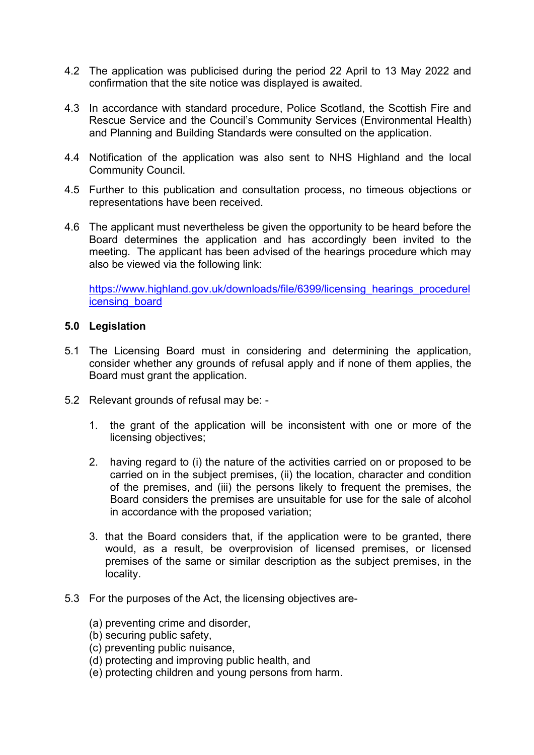- 4.2 The application was publicised during the period 22 April to 13 May 2022 and confirmation that the site notice was displayed is awaited.
- 4.3 In accordance with standard procedure, Police Scotland, the Scottish Fire and Rescue Service and the Council's Community Services (Environmental Health) and Planning and Building Standards were consulted on the application.
- 4.4 Notification of the application was also sent to NHS Highland and the local Community Council.
- 4.5 Further to this publication and consultation process, no timeous objections or representations have been received.
- 4.6 The applicant must nevertheless be given the opportunity to be heard before the Board determines the application and has accordingly been invited to the meeting. The applicant has been advised of the hearings procedure which may also be viewed via the following link:

[https://www.highland.gov.uk/downloads/file/6399/licensing\\_hearings\\_procedurel](https://www.highland.gov.uk/downloads/file/6399/licensing_hearings_procedurelicensing_board) [icensing\\_board](https://www.highland.gov.uk/downloads/file/6399/licensing_hearings_procedurelicensing_board)

### **5.0 Legislation**

- 5.1 The Licensing Board must in considering and determining the application, consider whether any grounds of refusal apply and if none of them applies, the Board must grant the application.
- 5.2 Relevant grounds of refusal may be:
	- 1. the grant of the application will be inconsistent with one or more of the licensing objectives;
	- 2. having regard to (i) the nature of the activities carried on or proposed to be carried on in the subject premises, (ii) the location, character and condition of the premises, and (iii) the persons likely to frequent the premises, the Board considers the premises are unsuitable for use for the sale of alcohol in accordance with the proposed variation;
	- 3. that the Board considers that, if the application were to be granted, there would, as a result, be overprovision of licensed premises, or licensed premises of the same or similar description as the subject premises, in the locality.
- 5.3 For the purposes of the Act, the licensing objectives are-
	- (a) preventing crime and disorder,
	- (b) securing public safety,
	- (c) preventing public nuisance,
	- (d) protecting and improving public health, and
	- (e) protecting children and young persons from harm.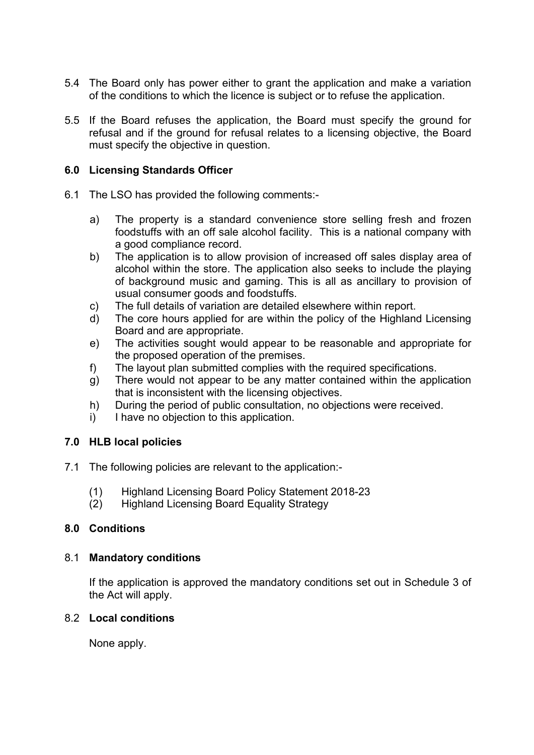- 5.4 The Board only has power either to grant the application and make a variation of the conditions to which the licence is subject or to refuse the application.
- 5.5 If the Board refuses the application, the Board must specify the ground for refusal and if the ground for refusal relates to a licensing objective, the Board must specify the objective in question.

# **6.0 Licensing Standards Officer**

- 6.1 The LSO has provided the following comments:
	- a) The property is a standard convenience store selling fresh and frozen foodstuffs with an off sale alcohol facility. This is a national company with a good compliance record.
	- b) The application is to allow provision of increased off sales display area of alcohol within the store. The application also seeks to include the playing of background music and gaming. This is all as ancillary to provision of usual consumer goods and foodstuffs.
	- c) The full details of variation are detailed elsewhere within report.
	- d) The core hours applied for are within the policy of the Highland Licensing Board and are appropriate.
	- e) The activities sought would appear to be reasonable and appropriate for the proposed operation of the premises.
	- f) The layout plan submitted complies with the required specifications.
	- g) There would not appear to be any matter contained within the application that is inconsistent with the licensing objectives.
	- h) During the period of public consultation, no objections were received.
	- i) I have no objection to this application.

### **7.0 HLB local policies**

- 7.1 The following policies are relevant to the application:-
	- (1) Highland Licensing Board Policy Statement 2018-23
	- (2) Highland Licensing Board Equality Strategy

# **8.0 Conditions**

### 8.1 **Mandatory conditions**

If the application is approved the mandatory conditions set out in Schedule 3 of the Act will apply.

### 8.2 **Local conditions**

None apply.